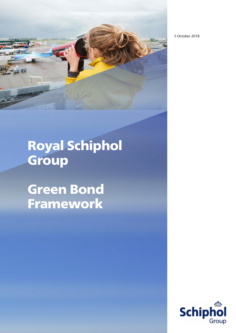5 October 2018



Royal Schiphol **Group** 

Green Bond Framework

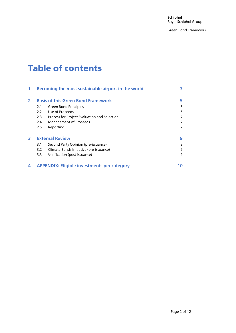**Schiphol** Royal Schiphol Group

Green Bond Framework

# Table of contents

|              | Becoming the most sustainable airport in the world |                                              | 3  |
|--------------|----------------------------------------------------|----------------------------------------------|----|
| $\mathbf{2}$ | <b>Basis of this Green Bond Framework</b>          |                                              |    |
|              | 2.1                                                | <b>Green Bond Principles</b>                 | 5  |
|              | 2.2                                                | Use of Proceeds                              | 5  |
|              | 2.3                                                | Process for Project Evaluation and Selection | 7  |
|              | 2.4                                                | Management of Proceeds                       | 7  |
|              | 2.5                                                | Reporting                                    | 7  |
| 3            | <b>External Review</b>                             |                                              | 9  |
|              | 3.1                                                | Second Party Opinion (pre-issuance)          | 9  |
|              | 3.2                                                | Climate Bonds Initiative (pre-issuance)      | 9  |
|              | 3.3                                                | Verification (post-issuance)                 | 9  |
| 4            | <b>APPENDIX: Eligible investments per category</b> |                                              | 10 |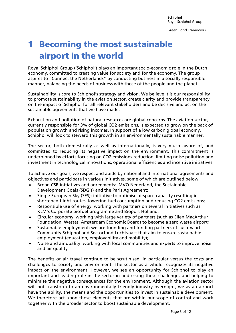# <span id="page-2-0"></span>1 Becoming the most sustainable airport in the world

Royal Schiphol Group ('Schiphol') plays an important socio-economic role in the Dutch economy, committed to creating value for society and for the economy. The group aspires to "Connect the Netherlands" by conducting business in a socially responsible manner, balancing the needs of business with those of the people and the planet.

Sustainability is core to Schiphol's strategy and vision. We believe it is our responsibility to promote sustainability in the aviation sector, create clarity and provide transparency on the impact of Schiphol for all relevant stakeholders and be decisive and act on the sustainable agreements that we have made.

Exhaustion and pollution of natural resources are global concerns. The aviation sector, currently responsible for 3% of global CO2 emissions, is expected to grow on the back of population growth and rising incomes. In support of a low carbon global economy, Schiphol will look to steward this growth in an environmentally sustainable manner.

The sector, both domestically as well as internationally, is very much aware of, and committed to reducing its negative impact on the environment. This commitment is underpinned by efforts focusing on CO2 emissions reduction, limiting noise pollution and investment in technological innovations, operational efficiencies and incentive initiatives.

To achieve our goals, we respect and abide by national and international agreements and objectives and participate in various initiatives, some of which are outlined below:

- Broad CSR initiatives and agreements: MVO Nederland, the Sustainable Development Goals (SDG's) and the Paris Agreement;
- Single European Sky (SES): initiative to optimise airspace capacity resulting in shortened flight routes, lowering fuel consumption and reducing CO2 emissions;
- Responsible use of energy: working with partners on several initiatives such as KLM's Corporate biofuel programme and Bioport Holland;
- Circular economy: working with large variety of partners (such as Ellen MacArthur Foundation, Westas, Amsterdam Economic Board) to become a zero waste airport;
- Sustainable employment: we are founding and funding partners of Luchtvaart Community Schiphol and Sectorfond Luchtvaart that aim to ensure sustainable employment (education, employability and mobility);
- Noise and air quality: working with local communities and experts to improve noise and air quality

The benefits or air travel continue to be scrutinised, in particular versus the costs and challenges to society and environment. The sector as a whole recognizes its negative impact on the environment. However, we see an opportunity for Schiphol to play an important and leading role in the sector in addressing these challenges and helping to minimise the negative consequences for the environment. Although the aviation sector will not transform to an environmentally friendly industry overnight, we as an airport have the ability, the means and the opportunities to invest in sustainable development. We therefore act upon those elements that are within our scope of control and work together with the broader sector to boost sustainable development.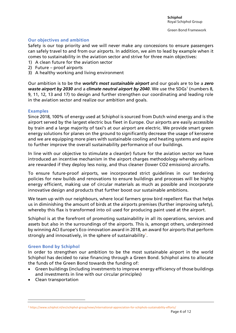#### **Our objectives and ambition**

Safety is our top priority and we will never make any concessions to ensure passengers can safely travel to and from our airports. In addition, we aim to lead by example when it comes to sustainability in the aviation sector and strive for three main objectives:

- 1) A clean future for the aviation sector
- 2) Future proof airports
- 3) A healthy working and living environment

Our ambition is to be the *world's most sustainable airport* and our goals are to be a *zero*  waste airport by 2030 and a climate neutral airport by 2040. We use the SDGs<sup>1</sup> (numbers 8, 9, 11, 12, 13 and 17) to design and further strengthen our coordinating and leading role in the aviation sector and realize our ambition and goals.

#### **Examples**

Since 2018, 100% of energy used at Schiphol is sourced from Dutch wind energy and is the airport served by the largest electric bus fleet in Europe. Our airports are easily accessible by train and a large majority of taxi's at our airport are electric. We provide smart green energy solutions for planes on the ground to significantly decrease the usage of kerosene and we are equipping more piers with sustainable cooling and heating systems and aspire to further improve the overall sustainability performance of our buildings.

In line with our objective to stimulate a clean(er) future for the aviation sector we have introduced an incentive mechanism in the airport charges methodology whereby airlines are rewarded if they deploy less noisy, and thus cleaner (lower CO2 emissions) aircrafts.

To ensure future-proof airports, we incorporated strict guidelines in our tendering policies for new builds and renovations to ensure buildings and processes will be highly energy efficient, making use of circular materials as much as possible and incorporate innovative design and products that further boost our sustainable ambitions.

We team up with our neighbours, where local farmers grow bird repellent flax that helps us in diminishing the amount of birds at the airports premises (further improving safety), whereby this flax is transformed into oil used for producing paint used at the airport.

Schiphol is at the forefront of promoting sustainability in all its operations, services and assets but also in the surroundings of the airports. This is, amongst others, underpinned by winning ACI Europe's Eco-innovation award in 2018, an award for airports that perform strongly and innovatively, in the sphere of sustainability $1$ .

#### **Green Bond by Schiphol**

In order to strengthen our ambition to be the most sustainable airport in the world Schiphol has decided to raise financing through a Green Bond. Schiphol aims to allocate the funds of the Green Bond towards the funding of:

- Green buildings (including investments to improve energy efficiency of those buildings and investments in line with our circular principles)
- Clean transportation

 $\overline{\phantom{a}}$ 

<sup>1</sup> https://www.schiphol.nl/en/schiphol-group/news/international-appreciation-for-schiphols-sustainability-efforts/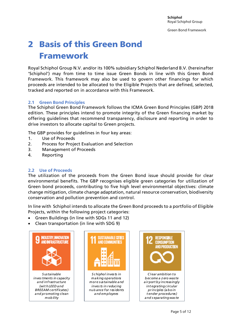# <span id="page-4-0"></span>2 Basis of this Green Bond Framework

Royal Schiphol Group N.V. and/or its 100% subsidiary Schiphol Nederland B.V. (hereinafter 'Schiphol') may from time to time issue Green Bonds in line with this Green Bond Framework. This framework may also be used to govern other financings for which proceeds are intended to be allocated to the Eligible Projects that are defined, selected, tracked and reported on in accordance with this Framework.

#### <span id="page-4-1"></span>**2.1 Green Bond Principles**

The Schiphol Green Bond Framework follows the ICMA Green Bond Principles (GBP) 2018 edition. These principles intend to promote integrity of the Green financing market by offering guidelines that recommend transparency, disclosure and reporting in order to drive investors to allocate capital to Green projects.

The GBP provides for guidelines in four key areas:

- 1. Use of Proceeds
- 2. Process for Project Evaluation and Selection
- 3. Management of Proceeds
- 4. Reporting

#### <span id="page-4-2"></span>**2.2 Use of Proceeds**

The utilization of the proceeds from the Green Bond issue should provide for clear environmental benefits. The GBP recognises eligible green categories for utilization of Green bond proceeds, contributing to five high level environmental objectives: climate change mitigation, climate change adaptation, natural resource conservation, biodiversity conservation and pollution prevention and control.

In line with Schiphol intends to allocate the Green Bond proceeds to a portfolio of Eligible Projects, within the following project categories:

- Green Buildings (in line with SDGs 11 and 12)
- Clean transportation (in line with SDG 9)





*S chiphol invests in making operations more sustainable and Schiphol invests in*<br>making operations<br>nore sustainable and<br>inves ts in reducing<br>uis ance for resident *nuis ance for residents and employees*

![](_page_4_Picture_19.jpeg)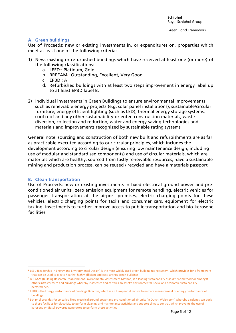#### **A. Green buildings**

Use of Proceeds: new or existing investments in, or expenditures on, properties which meet at least one of the following criteria:

- 1) New, existing or refurbished buildings which have received at least one (or more) of the following classifications:
	- a. LEED<sup>2</sup>: Platinum, Gold
	- b. BREEAM<sup>3</sup>: Outstanding, Excellent, Very Good
	- c. EPBD<sup>4</sup>: A
	- d. Refurbished buildings with at least two steps improvement in energy label up to at least EPBD label B.
- 2) Individual investments in Green Buildings to ensure environmental improvements such as renewable energy projects (e.g. solar panel installations), sustainable/circular furniture, energy efficient lighting (such as LED), thermal energy storage systems, cool roof and any other sustainability-oriented construction materials, waste diversion, collection and reduction, water and energy-saving technologies and materials and improvements recognized by sustainable rating systems

General note: sourcing and construction of both new built and refurbishments are as far as practicable executed according to our circular principles, which includes the development according to circular design (ensuring low maintenance design, including use of modular and standardised components) and use of circular materials, which are materials which are healthy, sourced from fastly renewable resources, have a sustainable mining and production process, can be reused / recycled and have a materials passport

#### **B. Clean transportation**

l

Use of Proceeds: new or existing investments in fixed electrical ground power and preconditioned air units<sup>5</sup>, zero emission equipment for remote handling, electric vehicles for passenger transportation at the airport premises, electric charging points for these vehicles, electric charging points for taxi's and consumer cars, equipment for electric taxiing, investments to further improve access to public transportation and bio-kerosene facilities

<sup>&</sup>lt;sup>2</sup> LEED (Leadership in Energy and Environmental Design) is the most widely used green building rating system, which provides for a framework that can be used to create healthy, highly efficient and cost-savings green buildings

<sup>&</sup>lt;sup>3</sup> BREAAM (Building Research Establishment Environmental Assessment Method) is a leading sustainability assessment method for amongst others infrastructure and buildings whereby it assesses and certifies an asset's environmental, social and economic sustainability performance.

<sup>4</sup> EPBD is the Energy Performance of Buildings Directive, which is an European directive to enforce measurement of energy performance of buildings

<sup>5</sup> Schiphol provides for so-called fixed electrical ground power and pre-conditioned air units (in Dutch: Walstroom) whereby airplanes can dock to these facilities for electricity to perform cleaning and maintenance activities and support climate control, which prevents the use of kerosene or diesel-powered generators to perform these activities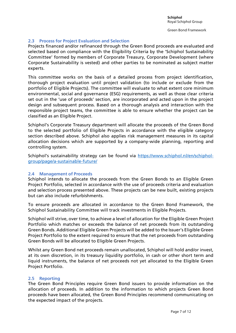#### <span id="page-6-0"></span>**2.3 Process for Project Evaluation and Selection**

Projects financed and/or refinanced through the Green Bond proceeds are evaluated and selected based on compliance with the Eligibility Criteria by the 'Schiphol Sustainability Committee' formed by members of Corporate Treasury, Corporate Development (where Corporate Sustainability is vested) and other parties to be nominated as subject matter experts.

This committee works on the basis of a detailed process from project identification, thorough project evaluation until project validation (to include or exclude from the portfolio of Eligible Projects). The committee will evaluate to what extent core minimum environmental, social and governance (ESG) requirements, as well as those clear criteria set out in the 'use of proceeds' section, are incorporated and acted upon in the project design and subsequent process. Based on a thorough analysis and interaction with the responsible project teams, the committee is able to ensure whether the project can be classified as an Eligible Project.

Schiphol's Corporate Treasury department will allocate the proceeds of the Green Bond to the selected portfolio of Eligible Projects in accordance with the eligible category section described above. Schiphol also applies risk management measures in its capital allocation decisions which are supported by a company-wide planning, reporting and controlling system.

Schiphol's sustainability strategy can be found via [https://www.schiphol.nl/en/schiphol](https://www.schiphol.nl/en/schiphol-group/page/a-sustainable-future/)[group/page/a-sustainable-future/](https://www.schiphol.nl/en/schiphol-group/page/a-sustainable-future/)

#### <span id="page-6-1"></span>**2.4 Management of Proceeds**

Schiphol intends to allocate the proceeds from the Green Bonds to an Eligible Green Project Portfolio, selected in accordance with the use of proceeds criteria and evaluation and selection process presented above. These projects can be new built, existing projects but can also include refurbishments.

To ensure proceeds are allocated in accordance to the Green Bond Framework, the Schiphol Sustainability Committee will track investments in Eligible Projects.

Schiphol will strive, over time, to achieve a level of allocation for the Eligible Green Project Portfolio which matches or exceeds the balance of net proceeds from its outstanding Green Bonds. Additional Eligible Green Projects will be added to the Issuer's Eligible Green Project Portfolio to the extent required to ensure that the net proceeds from outstanding Green Bonds will be allocated to Eligible Green Projects.

Whilst any Green Bond net proceeds remain unallocated, Schiphol will hold and/or invest, at its own discretion, in its treasury liquidity portfolio, in cash or other short term and liquid instruments, the balance of net proceeds not yet allocated to the Eligible Green Project Portfolio.

#### <span id="page-6-2"></span>**2.5 Reporting**

The Green Bond Principles require Green Bond issuers to provide information on the allocation of proceeds. In addition to the information to which projects Green Bond proceeds have been allocated, the Green Bond Principles recommend communicating on the expected impact of the projects.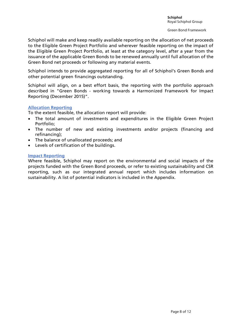Schiphol will make and keep readily available reporting on the allocation of net proceeds to the Eligible Green Project Portfolio and wherever feasible reporting on the impact of the Eligible Green Project Portfolio, at least at the category level, after a year from the issuance of the applicable Green Bonds to be renewed annually until full allocation of the Green Bond net proceeds or following any material events.

Schiphol intends to provide aggregated reporting for all of Schiphol's Green Bonds and other potential green financings outstanding.

Schiphol will align, on a best effort basis, the reporting with the portfolio approach described in "Green Bonds - working towards a Harmonized Framework for Impact Reporting (December 2015)".

#### **Allocation Reporting**

To the extent feasible, the allocation report will provide:

- The total amount of investments and expenditures in the Eligible Green Project Portfolio;
- The number of new and existing investments and/or projects (financing and refinancing);
- The balance of unallocated proceeds; and
- Levels of certification of the buildings.

#### **Impact Reporting**

Where feasible, Schiphol may report on the environmental and social impacts of the projects funded with the Green Bond proceeds, or refer to existing sustainability and CSR reporting, such as our integrated annual report which includes information on sustainability. A list of potential indicators is included in the Appendix.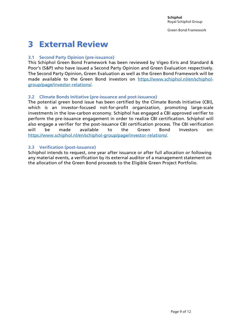### <span id="page-8-0"></span>3 External Review

#### <span id="page-8-1"></span>**3.1 Second Party Opinion (pre-issuance)**

This Schiphol Green Bond Framework has been reviewed by Vigeo Eiris and Standard & Poor's (S&P) who have issued a Second Party Opinion and Green Evaluation respectively. The Second Party Opinion, Green Evaluation as well as the Green Bond Framework will be made available to the Green Bond investors on [https://www.schiphol.nl/en/schiphol](https://www.schiphol.nl/en/schiphol-group/page/investor-relations/)[group/page/investor-relations/.](https://www.schiphol.nl/en/schiphol-group/page/investor-relations/)

#### <span id="page-8-2"></span>**3.2 Climate Bonds Initiative (pre-issuance and post-issuance)**

The potential green bond issue has been certified by the Climate Bonds Initiative (CBI), which is an investor-focused not-for-profit organization, promoting large-scale investments in the low-carbon economy. Schiphol has engaged a CBI approved verifier to perform the pre-issuance engagement in order to realize CBI certification. Schiphol will also engage a verifier for the post-issuance CBI certification process. The CBI verification will be made available to the Green Bond Investors on: [https://www.schiphol.nl/en/schiphol-group/page/investor-relations/.](https://www.schiphol.nl/en/schiphol-group/page/investor-relations/)

#### <span id="page-8-3"></span>**3.3 Verification (post-issuance)**

Schiphol intends to request, one year after issuance or after full allocation or following any material events, a verification by its external auditor of a management statement on the allocation of the Green Bond proceeds to the Eligible Green Project Portfolio.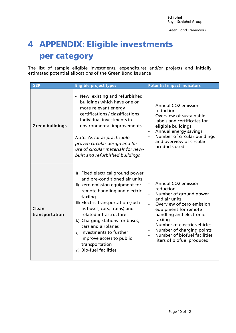# <span id="page-9-0"></span>4 APPENDIX: Eligible investments per category

The list of sample eligible investments, expenditures and/or projects and initially estimated potential allocations of the Green Bond issuance

| <b>GBP</b>              | <b>Eligible project types</b>                                                                                                                                                                                                                                                                                                                                                                                     | <b>Potential impact indicators</b>                                                                                                                                                                                                                                                                |
|-------------------------|-------------------------------------------------------------------------------------------------------------------------------------------------------------------------------------------------------------------------------------------------------------------------------------------------------------------------------------------------------------------------------------------------------------------|---------------------------------------------------------------------------------------------------------------------------------------------------------------------------------------------------------------------------------------------------------------------------------------------------|
| <b>Green buildings</b>  | New, existing and refurbished<br>buildings which have one or<br>more relevant energy<br>certifications / classifications<br>Individual investments in<br>environmental improvements<br>Note: As far as practicable<br>proven circular design and lor<br>use of circular materials for new-<br>built and refurbished buildings                                                                                     | Annual CO2 emission<br>reduction<br>Overview of sustainable<br>labels and certificates for<br>eligible buildings<br>Annual energy savings<br>Number of circular buildings<br>and overview of circular<br>products used                                                                            |
| Clean<br>transportation | Fixed electrical ground power<br>i)<br>and pre-conditioned air units<br>ii) zero emission equipment for<br>remote handling and electric<br>taxiing<br>iii) Electric transportation (such<br>as buses, cars, trains) and<br>related infrastructure<br>iv) Charging stations for buses,<br>cars and airplanes<br>v) Investments to further<br>improve access to public<br>transportation<br>vi) Bio-fuel facilities | Annual CO2 emission<br>reduction<br>Number of ground power<br>and air units<br>Overview of zero emission<br>equipment for remote<br>handling and electronic<br>taxiing<br>Number of electric vehicles<br>Number of charging points<br>Number of biofuel facilities,<br>liters of biofuel produced |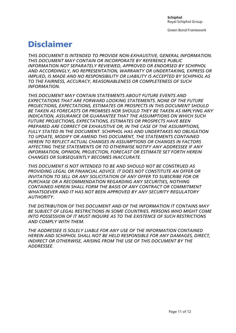Green Bond Framework

# Disclaimer

*THIS DOCUMENT IS INTENDED TO PROVIDE NON-EXHAUSTIVE, GENERAL INFORMATION. THIS DOCUMENT MAY CONTAIN OR INCORPORATE BY REFERENCE PUBLIC INFORMATION NOT SEPARATELY REVIEWED, APPROVED OR ENDORSED BY SCHIPHOL AND ACCORDINGLY, NO REPRESENTATION, WARRANTY OR UNDERTAKING, EXPRESS OR IMPLIED, IS MADE AND NO RESPONSIBILITY OR LIABILITY IS ACCEPTED BY SCHIPHOL AS TO THE FAIRNESS, ACCURACY, REASONABLENESS OR COMPLETENESS OF SUCH INFORMATION.*

*THIS DOCUMENT MAY CONTAIN STATEMENTS ABOUT FUTURE EVENTS AND EXPECTATIONS THAT ARE FORWARD LOOKING STATEMENTS. NONE OF THE FUTURE PROJECTIONS, EXPECTATIONS, ESTIMATES OR PROSPECTS IN THIS DOCUMENT SHOULD BE TAKEN AS FORECASTS OR PROMISES NOR SHOULD THEY BE TAKEN AS IMPLYING ANY INDICATION, ASSURANCE OR GUARANTEE THAT THE ASSUMPTIONS ON WHICH SUCH FUTURE PROJECTIONS, EXPECTATIONS, ESTIMATES OR PROSPECTS HAVE BEEN PREPARED ARE CORRECT OR EXHAUSTIVE OR, IN THE CASE OF THE ASSUMPTIONS, FULLY STATED IN THE DOCUMENT. SCHIPHOL HAS AND UNDERTAKES NO OBLIGATION TO UPDATE, MODIFY OR AMEND THIS DOCUMENT, THE STATEMENTS CONTAINED HEREIN TO REFLECT ACTUAL CHANGES IN ASSUMPTIONS OR CHANGES IN FACTORS AFFECTING THESE STATEMENTS OR TO OTHERWISE NOTIFY ANY ADDRESSEE IF ANY INFORMATION, OPINION, PROJECTION, FORECAST OR ESTIMATE SET FORTH HEREIN CHANGES OR SUBSEQUENTLY BECOMES INACCURATE.*

*THIS DOCUMENT IS NOT INTENDED TO BE AND SHOULD NOT BE CONSTRUED AS PROVIDING LEGAL OR FINANCIAL ADVICE. IT DOES NOT CONSTITUTE AN OFFER OR INVITATION TO SELL OR ANY SOLICITATION OF ANY OFFER TO SUBSCRIBE FOR OR PURCHASE OR A RECOMMENDATION REGARDING ANY SECURITIES, NOTHING CONTAINED HEREIN SHALL FORM THE BASIS OF ANY CONTRACT OR COMMITMENT WHATSOEVER AND IT HAS NOT BEEN APPROVED BY ANY SECURITY REGULATORY AUTHORITY.*

*THE DISTRIBUTION OF THIS DOCUMENT AND OF THE INFORMATION IT CONTAINS MAY BE SUBJECT OF LEGAL RESTRICTIONS IN SOME COUNTRIES. PERSONS WHO MIGHT COME INTO POSSESSION OF IT MUST INQUIRE AS TO THE EXISTENCE OF SUCH RESTRICTIONS AND COMPLY WITH THEM.*

THE ADDRESSEE IS SOLELY LIABLE FOR ANY USE OF THE INFORMATION CONTAINED *HEREIN AND SCHIPHOL SHALL NOT BE HELD RESPONSIBLE FOR ANY DAMAGES, DIRECT, INDIRECT OR OTHERWISE, ARISING FROM THE USE OF THIS DOCUMENT BY THE ADDRESSEE.*